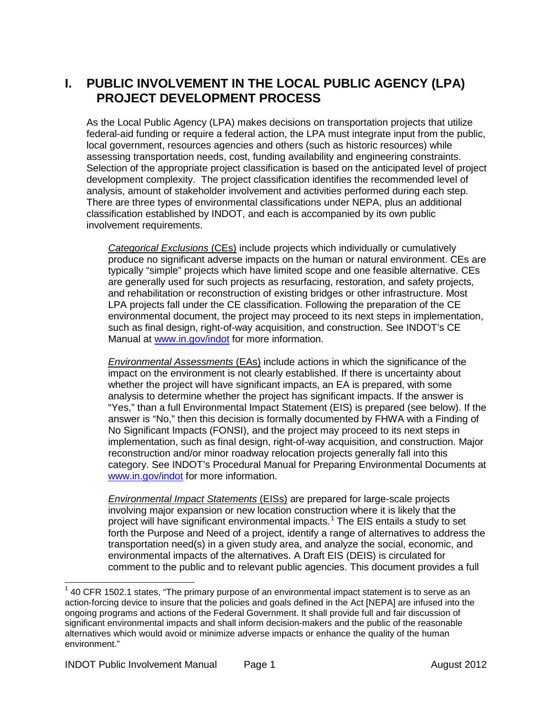#### **I. PUBLIC INVOLVEMENT IN THE LOCAL PUBLIC AGENCY (LPA) PROJECT DEVELOPMENT PROCESS**

As the Local Public Agency (LPA) makes decisions on transportation projects that utilize federal-aid funding or require a federal action, the LPA must integrate input from the public, local government, resources agencies and others (such as historic resources) while assessing transportation needs, cost, funding availability and engineering constraints. Selection of the appropriate project classification is based on the anticipated level of project development complexity. The project classification identifies the recommended level of analysis, amount of stakeholder involvement and activities performed during each step. There are three types of environmental classifications under NEPA, plus an additional classification established by INDOT, and each is accompanied by its own public involvement requirements.

*Categorical Exclusions* (CEs) include projects which individually or cumulatively produce no significant adverse impacts on the human or natural environment. CEs are typically "simple" projects which have limited scope and one feasible alternative. CEs are generally used for such projects as resurfacing, restoration, and safety projects, and rehabilitation or reconstruction of existing bridges or other infrastructure. Most LPA projects fall under the CE classification. Following the preparation of the CE environmental document, the project may proceed to its next steps in implementation, such as final design, right-of-way acquisition, and construction. See INDOT's CE Manual at [www.in.gov/indot](http://www.in.gov/indot) for more information.

*Environmental Assessments* (EAs) include actions in which the significance of the impact on the environment is not clearly established. If there is uncertainty about whether the project will have significant impacts, an EA is prepared, with some analysis to determine whether the project has significant impacts. If the answer is "Yes," than a full Environmental Impact Statement (EIS) is prepared (see below). If the answer is "No," then this decision is formally documented by FHWA with a Finding of No Significant Impacts (FONSI), and the project may proceed to its next steps in implementation, such as final design, right-of-way acquisition, and construction. Major reconstruction and/or minor roadway relocation projects generally fall into this category. See INDOT's Procedural Manual for Preparing Environmental Documents at [www.in.gov/indot](http://www.in.gov/indot) for more information.

*Environmental Impact Statements* (EISs) are prepared for large-scale projects involving major expansion or new location construction where it is likely that the project will have significant environmental impacts.<sup>[1](#page-0-0)</sup> The EIS entails a study to set forth the Purpose and Need of a project, identify a range of alternatives to address the transportation need(s) in a given study area, and analyze the social, economic, and environmental impacts of the alternatives. A Draft EIS (DEIS) is circulated for comment to the public and to relevant public agencies. This document provides a full

<span id="page-0-0"></span> $<sup>1</sup>$  40 CFR 1502.1 states, "The primary purpose of an environmental impact statement is to serve as an</sup> action-forcing device to insure that the policies and goals defined in the Act [NEPA] are infused into the ongoing programs and actions of the Federal Government. It shall provide full and fair discussion of significant environmental impacts and shall inform decision-makers and the public of the reasonable alternatives which would avoid or minimize adverse impacts or enhance the quality of the human environment."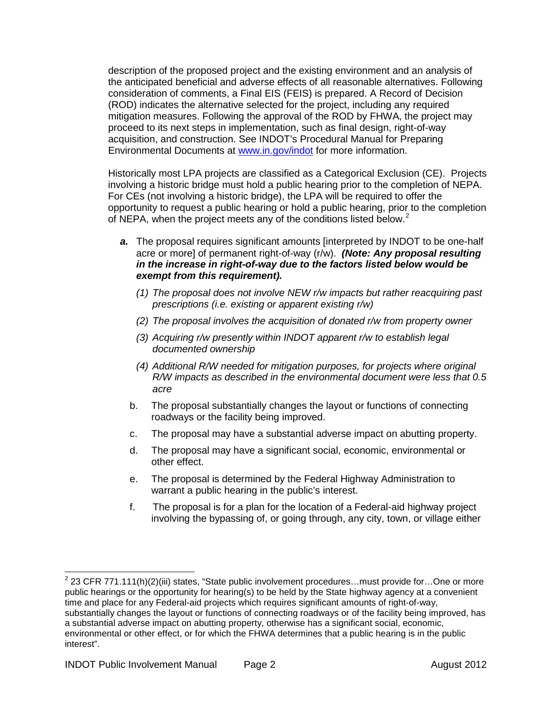description of the proposed project and the existing environment and an analysis of the anticipated beneficial and adverse effects of all reasonable alternatives. Following consideration of comments, a Final EIS (FEIS) is prepared. A Record of Decision (ROD) indicates the alternative selected for the project, including any required mitigation measures. Following the approval of the ROD by FHWA, the project may proceed to its next steps in implementation, such as final design, right-of-way acquisition, and construction. See INDOT's Procedural Manual for Preparing Environmental Documents at [www.in.gov/indot](http://www.in.gov/indot) for more information.

Historically most LPA projects are classified as a Categorical Exclusion (CE). Projects involving a historic bridge must hold a public hearing prior to the completion of NEPA. For CEs (not involving a historic bridge), the LPA will be required to offer the opportunity to request a public hearing or hold a public hearing, prior to the completion of NEPA, when the project meets any of the conditions listed below.<sup>[2](#page-1-0)</sup>

- *a.* The proposal requires significant amounts [interpreted by INDOT to be one-half acre or more] of permanent right-of-way (r/w). *(Note: Any proposal resulting in the increase in right-of-way due to the factors listed below would be exempt from this requirement).*
	- *(1) The proposal does not involve NEW r/w impacts but rather reacquiring past prescriptions (i.e. existing or apparent existing r/w)*
	- *(2) The proposal involves the acquisition of donated r/w from property owner*
	- *(3) Acquiring r/w presently within INDOT apparent r/w to establish legal documented ownership*
	- *(4) Additional R/W needed for mitigation purposes, for projects where original R/W impacts as described in the environmental document were less that 0.5 acre*
	- b. The proposal substantially changes the layout or functions of connecting roadways or the facility being improved.
	- c. The proposal may have a substantial adverse impact on abutting property.
	- d. The proposal may have a significant social, economic, environmental or other effect.
	- e. The proposal is determined by the Federal Highway Administration to warrant a public hearing in the public's interest.
	- f. The proposal is for a plan for the location of a Federal-aid highway project involving the bypassing of, or going through, any city, town, or village either

<span id="page-1-0"></span> $2$  23 CFR 771.111(h)(2)(iii) states, "State public involvement procedures...must provide for...One or more public hearings or the opportunity for hearing(s) to be held by the State highway agency at a convenient time and place for any Federal-aid projects which requires significant amounts of right-of-way, substantially changes the layout or functions of connecting roadways or of the facility being improved, has a substantial adverse impact on abutting property, otherwise has a significant social, economic, environmental or other effect, or for which the FHWA determines that a public hearing is in the public interest".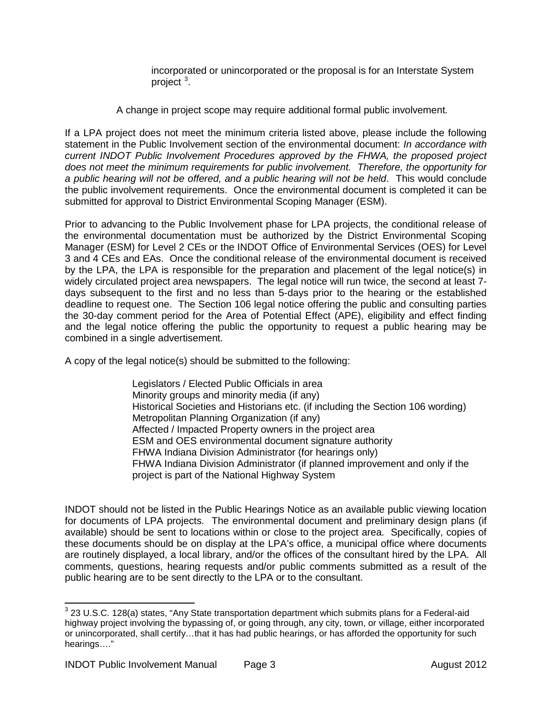incorporated or unincorporated or the proposal is for an Interstate System project<sup>[3](#page-2-0)</sup>.

A change in project scope may require additional formal public involvement*.*

If a LPA project does not meet the minimum criteria listed above, please include the following statement in the Public Involvement section of the environmental document: *In accordance with current INDOT Public Involvement Procedures approved by the FHWA, the proposed project does not meet the minimum requirements for public involvement. Therefore, the opportunity for a public hearing will not be offered, and a public hearing will not be held*. This would conclude the public involvement requirements. Once the environmental document is completed it can be submitted for approval to District Environmental Scoping Manager (ESM).

Prior to advancing to the Public Involvement phase for LPA projects, the conditional release of the environmental documentation must be authorized by the District Environmental Scoping Manager (ESM) for Level 2 CEs or the INDOT Office of Environmental Services (OES) for Level 3 and 4 CEs and EAs. Once the conditional release of the environmental document is received by the LPA, the LPA is responsible for the preparation and placement of the legal notice(s) in widely circulated project area newspapers. The legal notice will run twice, the second at least 7 days subsequent to the first and no less than 5-days prior to the hearing or the established deadline to request one. The Section 106 legal notice offering the public and consulting parties the 30-day comment period for the Area of Potential Effect (APE), eligibility and effect finding and the legal notice offering the public the opportunity to request a public hearing may be combined in a single advertisement.

A copy of the legal notice(s) should be submitted to the following:

Legislators / Elected Public Officials in area Minority groups and minority media (if any) Historical Societies and Historians etc. (if including the Section 106 wording) Metropolitan Planning Organization (if any) Affected / Impacted Property owners in the project area ESM and OES environmental document signature authority FHWA Indiana Division Administrator (for hearings only) FHWA Indiana Division Administrator (if planned improvement and only if the project is part of the National Highway System

INDOT should not be listed in the Public Hearings Notice as an available public viewing location for documents of LPA projects. The environmental document and preliminary design plans (if available) should be sent to locations within or close to the project area. Specifically, copies of these documents should be on display at the LPA's office, a municipal office where documents are routinely displayed, a local library, and/or the offices of the consultant hired by the LPA. All comments, questions, hearing requests and/or public comments submitted as a result of the public hearing are to be sent directly to the LPA or to the consultant.

<span id="page-2-0"></span><sup>&</sup>lt;sup>3</sup> 23 U.S.C. 128(a) states, "Any State transportation department which submits plans for a Federal-aid highway project involving the bypassing of, or going through, any city, town, or village, either incorporated or unincorporated, shall certify…that it has had public hearings, or has afforded the opportunity for such hearings…."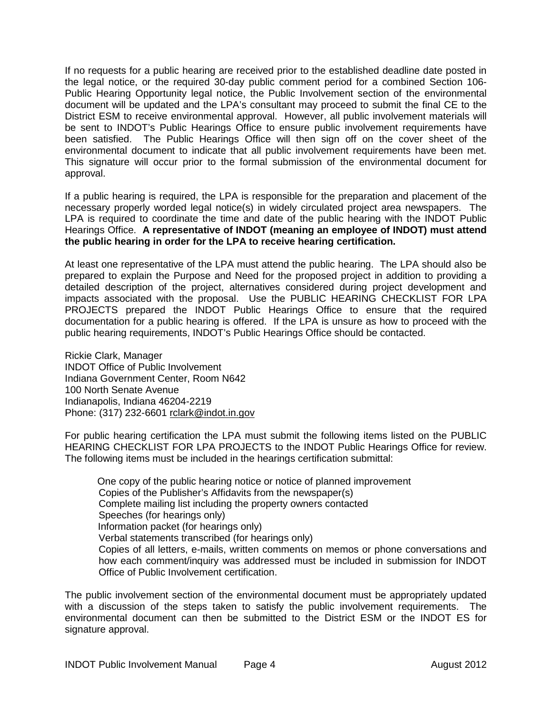If no requests for a public hearing are received prior to the established deadline date posted in the legal notice, or the required 30-day public comment period for a combined Section 106- Public Hearing Opportunity legal notice, the Public Involvement section of the environmental document will be updated and the LPA's consultant may proceed to submit the final CE to the District ESM to receive environmental approval. However, all public involvement materials will be sent to INDOT's Public Hearings Office to ensure public involvement requirements have been satisfied. The Public Hearings Office will then sign off on the cover sheet of the environmental document to indicate that all public involvement requirements have been met. This signature will occur prior to the formal submission of the environmental document for approval.

If a public hearing is required, the LPA is responsible for the preparation and placement of the necessary properly worded legal notice(s) in widely circulated project area newspapers. The LPA is required to coordinate the time and date of the public hearing with the INDOT Public Hearings Office. **A representative of INDOT (meaning an employee of INDOT) must attend the public hearing in order for the LPA to receive hearing certification.**

At least one representative of the LPA must attend the public hearing. The LPA should also be prepared to explain the Purpose and Need for the proposed project in addition to providing a detailed description of the project, alternatives considered during project development and impacts associated with the proposal. Use the PUBLIC HEARING CHECKLIST FOR LPA PROJECTS prepared the INDOT Public Hearings Office to ensure that the required documentation for a public hearing is offered. If the LPA is unsure as how to proceed with the public hearing requirements, INDOT's Public Hearings Office should be contacted.

Rickie Clark, Manager INDOT Office of Public Involvement Indiana Government Center, Room N642 100 North Senate Avenue Indianapolis, Indiana 46204-2219 Phone: (317) 232-6601 [rclark@indot.in.gov](mailto:rclark@indot.in.gov)

For public hearing certification the LPA must submit the following items listed on the PUBLIC HEARING CHECKLIST FOR LPA PROJECTS to the INDOT Public Hearings Office for review. The following items must be included in the hearings certification submittal:

One copy of the public hearing notice or notice of planned improvement Copies of the Publisher's Affidavits from the newspaper(s) Complete mailing list including the property owners contacted Speeches (for hearings only) Information packet (for hearings only) Verbal statements transcribed (for hearings only) Copies of all letters, e-mails, written comments on memos or phone conversations and how each comment/inquiry was addressed must be included in submission for INDOT Office of Public Involvement certification.

The public involvement section of the environmental document must be appropriately updated with a discussion of the steps taken to satisfy the public involvement requirements. The environmental document can then be submitted to the District ESM or the INDOT ES for signature approval.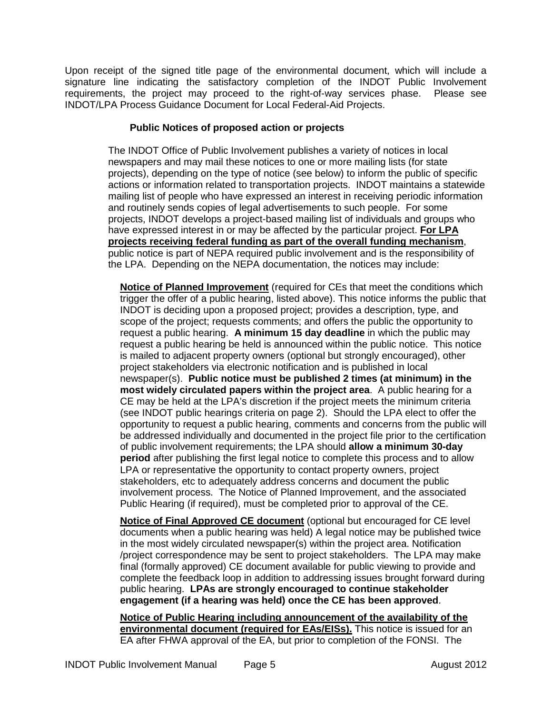Upon receipt of the signed title page of the environmental document, which will include a signature line indicating the satisfactory completion of the INDOT Public Involvement requirements, the project may proceed to the right-of-way services phase. Please see INDOT/LPA Process Guidance Document for Local Federal-Aid Projects.

#### **Public Notices of proposed action or projects**

The INDOT Office of Public Involvement publishes a variety of notices in local newspapers and may mail these notices to one or more mailing lists (for state projects), depending on the type of notice (see below) to inform the public of specific actions or information related to transportation projects. INDOT maintains a statewide mailing list of people who have expressed an interest in receiving periodic information and routinely sends copies of legal advertisements to such people. For some projects, INDOT develops a project-based mailing list of individuals and groups who have expressed interest in or may be affected by the particular project. **For LPA projects receiving federal funding as part of the overall funding mechanism**, public notice is part of NEPA required public involvement and is the responsibility of the LPA. Depending on the NEPA documentation, the notices may include:

**Notice of Planned Improvement** (required for CEs that meet the conditions which trigger the offer of a public hearing, listed above). This notice informs the public that INDOT is deciding upon a proposed project; provides a description, type, and scope of the project; requests comments; and offers the public the opportunity to request a public hearing. **A minimum 15 day deadline** in which the public may request a public hearing be held is announced within the public notice. This notice is mailed to adjacent property owners (optional but strongly encouraged), other project stakeholders via electronic notification and is published in local newspaper(s). **Public notice must be published 2 times (at minimum) in the most widely circulated papers within the project area**. A public hearing for a CE may be held at the LPA's discretion if the project meets the minimum criteria (see INDOT public hearings criteria on page 2). Should the LPA elect to offer the opportunity to request a public hearing, comments and concerns from the public will be addressed individually and documented in the project file prior to the certification of public involvement requirements; the LPA should **allow a minimum 30-day period** after publishing the first legal notice to complete this process and to allow LPA or representative the opportunity to contact property owners, project stakeholders, etc to adequately address concerns and document the public involvement process. The Notice of Planned Improvement, and the associated Public Hearing (if required), must be completed prior to approval of the CE.

**Notice of Final Approved CE document** (optional but encouraged for CE level documents when a public hearing was held) A legal notice may be published twice in the most widely circulated newspaper(s) within the project area. Notification /project correspondence may be sent to project stakeholders. The LPA may make final (formally approved) CE document available for public viewing to provide and complete the feedback loop in addition to addressing issues brought forward during public hearing. **LPAs are strongly encouraged to continue stakeholder engagement (if a hearing was held) once the CE has been approved**.

**Notice of Public Hearing including announcement of the availability of the environmental document (required for EAs/EISs).** This notice is issued for an EA after FHWA approval of the EA, but prior to completion of the FONSI. The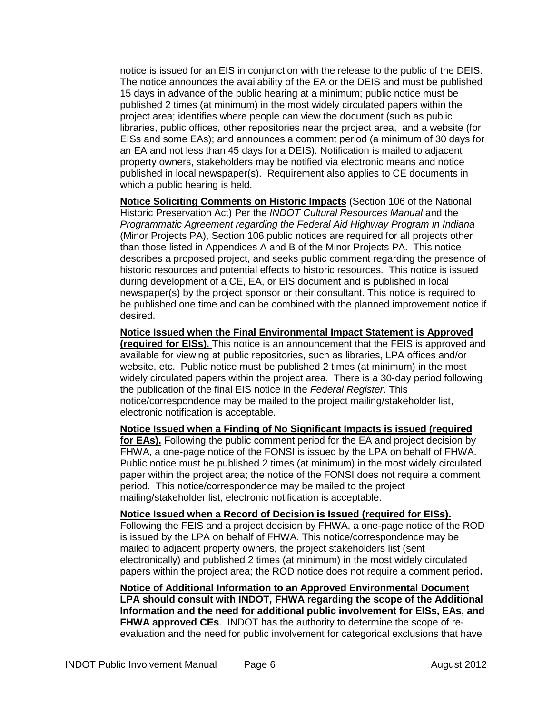notice is issued for an EIS in conjunction with the release to the public of the DEIS. The notice announces the availability of the EA or the DEIS and must be published 15 days in advance of the public hearing at a minimum; public notice must be published 2 times (at minimum) in the most widely circulated papers within the project area; identifies where people can view the document (such as public libraries, public offices, other repositories near the project area, and a website (for EISs and some EAs); and announces a comment period (a minimum of 30 days for an EA and not less than 45 days for a DEIS). Notification is mailed to adjacent property owners, stakeholders may be notified via electronic means and notice published in local newspaper(s). Requirement also applies to CE documents in which a public hearing is held.

**Notice Soliciting Comments on Historic Impacts** (Section 106 of the National Historic Preservation Act) Per the *INDOT Cultural Resources Manual* and the *Programmatic Agreement regarding the Federal Aid Highway Program in Indiana* (Minor Projects PA), Section 106 public notices are required for all projects other than those listed in Appendices A and B of the Minor Projects PA. This notice describes a proposed project, and seeks public comment regarding the presence of historic resources and potential effects to historic resources. This notice is issued during development of a CE, EA, or EIS document and is published in local newspaper(s) by the project sponsor or their consultant. This notice is required to be published one time and can be combined with the planned improvement notice if desired.

**Notice Issued when the Final Environmental Impact Statement is Approved (required for EISs).** This notice is an announcement that the FEIS is approved and available for viewing at public repositories, such as libraries, LPA offices and/or website, etc. Public notice must be published 2 times (at minimum) in the most widely circulated papers within the project area. There is a 30-day period following the publication of the final EIS notice in the *Federal Register*. This notice/correspondence may be mailed to the project mailing/stakeholder list, electronic notification is acceptable.

**Notice Issued when a Finding of No Significant Impacts is issued (required for EAs).** Following the public comment period for the EA and project decision by FHWA, a one-page notice of the FONSI is issued by the LPA on behalf of FHWA. Public notice must be published 2 times (at minimum) in the most widely circulated paper within the project area; the notice of the FONSI does not require a comment period. This notice/correspondence may be mailed to the project mailing/stakeholder list, electronic notification is acceptable.

**Notice Issued when a Record of Decision is Issued (required for EISs).** Following the FEIS and a project decision by FHWA, a one-page notice of the ROD is issued by the LPA on behalf of FHWA. This notice/correspondence may be mailed to adjacent property owners, the project stakeholders list (sent electronically) and published 2 times (at minimum) in the most widely circulated papers within the project area; the ROD notice does not require a comment period**.** 

**Notice of Additional Information to an Approved Environmental Document LPA should consult with INDOT, FHWA regarding the scope of the Additional Information and the need for additional public involvement for EISs, EAs, and FHWA approved CEs**. INDOT has the authority to determine the scope of reevaluation and the need for public involvement for categorical exclusions that have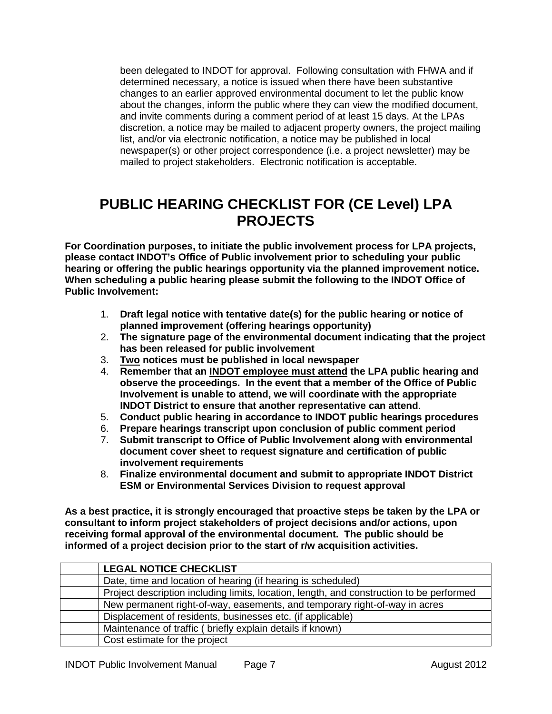been delegated to INDOT for approval. Following consultation with FHWA and if determined necessary, a notice is issued when there have been substantive changes to an earlier approved environmental document to let the public know about the changes, inform the public where they can view the modified document, and invite comments during a comment period of at least 15 days. At the LPAs discretion, a notice may be mailed to adjacent property owners, the project mailing list, and/or via electronic notification, a notice may be published in local newspaper(s) or other project correspondence (i.e. a project newsletter) may be mailed to project stakeholders. Electronic notification is acceptable.

## **PUBLIC HEARING CHECKLIST FOR (CE Level) LPA PROJECTS**

**For Coordination purposes, to initiate the public involvement process for LPA projects, please contact INDOT's Office of Public involvement prior to scheduling your public hearing or offering the public hearings opportunity via the planned improvement notice. When scheduling a public hearing please submit the following to the INDOT Office of Public Involvement:**

- 1. **Draft legal notice with tentative date(s) for the public hearing or notice of planned improvement (offering hearings opportunity)**
- 2. **The signature page of the environmental document indicating that the project has been released for public involvement**
- 3. **Two notices must be published in local newspaper**
- 4. **Remember that an INDOT employee must attend the LPA public hearing and observe the proceedings. In the event that a member of the Office of Public Involvement is unable to attend, we will coordinate with the appropriate INDOT District to ensure that another representative can attend**.
- 5. **Conduct public hearing in accordance to INDOT public hearings procedures**
- 6. **Prepare hearings transcript upon conclusion of public comment period**
- 7. **Submit transcript to Office of Public Involvement along with environmental document cover sheet to request signature and certification of public involvement requirements**
- 8. **Finalize environmental document and submit to appropriate INDOT District ESM or Environmental Services Division to request approval**

**As a best practice, it is strongly encouraged that proactive steps be taken by the LPA or consultant to inform project stakeholders of project decisions and/or actions, upon receiving formal approval of the environmental document. The public should be informed of a project decision prior to the start of r/w acquisition activities.**

| <b>LEGAL NOTICE CHECKLIST</b>                                                            |
|------------------------------------------------------------------------------------------|
| Date, time and location of hearing (if hearing is scheduled)                             |
| Project description including limits, location, length, and construction to be performed |
| New permanent right-of-way, easements, and temporary right-of-way in acres               |
| Displacement of residents, businesses etc. (if applicable)                               |
| Maintenance of traffic (briefly explain details if known)                                |
| Cost estimate for the project                                                            |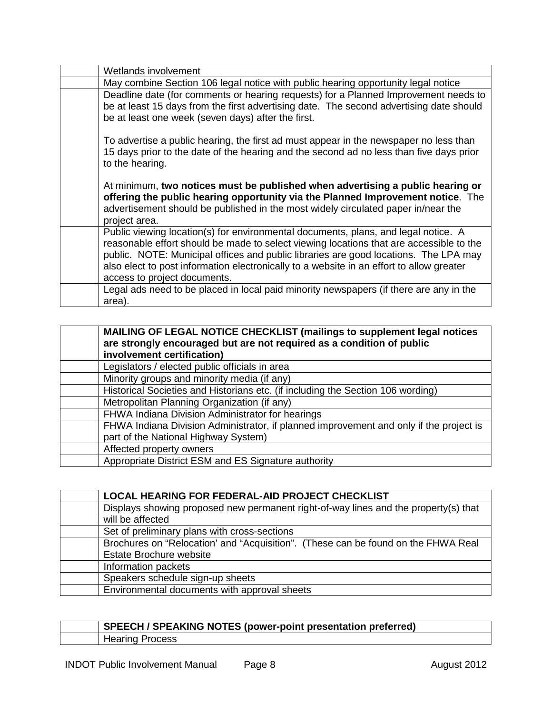| Wetlands involvement                                                                                                                                                                                                                                                                                                                                                                              |
|---------------------------------------------------------------------------------------------------------------------------------------------------------------------------------------------------------------------------------------------------------------------------------------------------------------------------------------------------------------------------------------------------|
| May combine Section 106 legal notice with public hearing opportunity legal notice                                                                                                                                                                                                                                                                                                                 |
| Deadline date (for comments or hearing requests) for a Planned Improvement needs to<br>be at least 15 days from the first advertising date. The second advertising date should<br>be at least one week (seven days) after the first.                                                                                                                                                              |
| To advertise a public hearing, the first ad must appear in the newspaper no less than<br>15 days prior to the date of the hearing and the second ad no less than five days prior<br>to the hearing.                                                                                                                                                                                               |
| At minimum, two notices must be published when advertising a public hearing or<br>offering the public hearing opportunity via the Planned Improvement notice. The<br>advertisement should be published in the most widely circulated paper in/near the<br>project area.                                                                                                                           |
| Public viewing location(s) for environmental documents, plans, and legal notice. A<br>reasonable effort should be made to select viewing locations that are accessible to the<br>public. NOTE: Municipal offices and public libraries are good locations. The LPA may<br>also elect to post information electronically to a website in an effort to allow greater<br>access to project documents. |
| Legal ads need to be placed in local paid minority newspapers (if there are any in the<br>area).                                                                                                                                                                                                                                                                                                  |

| MAILING OF LEGAL NOTICE CHECKLIST (mailings to supplement legal notices<br>are strongly encouraged but are not required as a condition of public<br>involvement certification) |
|--------------------------------------------------------------------------------------------------------------------------------------------------------------------------------|
| Legislators / elected public officials in area                                                                                                                                 |
| Minority groups and minority media (if any)                                                                                                                                    |
| Historical Societies and Historians etc. (if including the Section 106 wording)                                                                                                |
| Metropolitan Planning Organization (if any)                                                                                                                                    |
| FHWA Indiana Division Administrator for hearings                                                                                                                               |
| FHWA Indiana Division Administrator, if planned improvement and only if the project is                                                                                         |
| part of the National Highway System)                                                                                                                                           |
| Affected property owners                                                                                                                                                       |
| Appropriate District ESM and ES Signature authority                                                                                                                            |

| LOCAL HEARING FOR FEDERAL-AID PROJECT CHECKLIST                                     |
|-------------------------------------------------------------------------------------|
| Displays showing proposed new permanent right-of-way lines and the property(s) that |
| will be affected                                                                    |
| Set of preliminary plans with cross-sections                                        |
| Brochures on "Relocation' and "Acquisition". (These can be found on the FHWA Real   |
| <b>Estate Brochure website</b>                                                      |
| Information packets                                                                 |
| Speakers schedule sign-up sheets                                                    |
| Environmental documents with approval sheets                                        |

#### **SPEECH / SPEAKING NOTES (power-point presentation preferred)** Hearing Process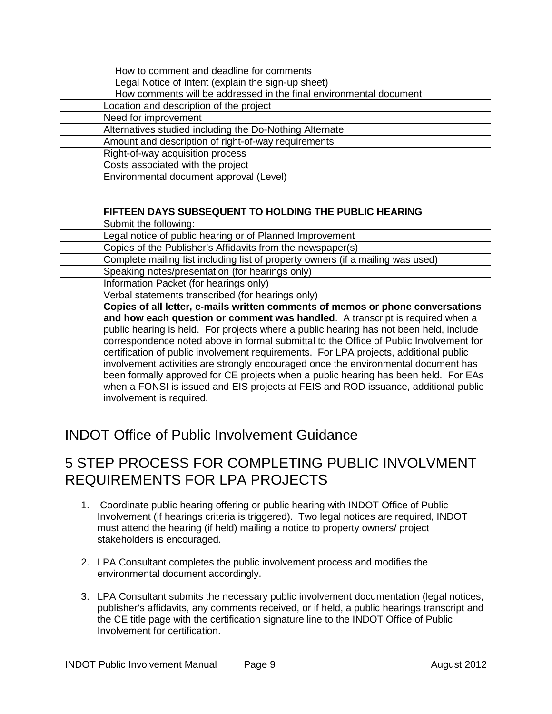| How to comment and deadline for comments                           |
|--------------------------------------------------------------------|
| Legal Notice of Intent (explain the sign-up sheet)                 |
| How comments will be addressed in the final environmental document |
| Location and description of the project                            |
| Need for improvement                                               |
| Alternatives studied including the Do-Nothing Alternate            |
| Amount and description of right-of-way requirements                |
| Right-of-way acquisition process                                   |
| Costs associated with the project                                  |
| Environmental document approval (Level)                            |

| FIFTEEN DAYS SUBSEQUENT TO HOLDING THE PUBLIC HEARING                                                                                                                                                                                                                                                                                                                                                                                                                                                                                                                                                                                                                                                                                        |
|----------------------------------------------------------------------------------------------------------------------------------------------------------------------------------------------------------------------------------------------------------------------------------------------------------------------------------------------------------------------------------------------------------------------------------------------------------------------------------------------------------------------------------------------------------------------------------------------------------------------------------------------------------------------------------------------------------------------------------------------|
| Submit the following:                                                                                                                                                                                                                                                                                                                                                                                                                                                                                                                                                                                                                                                                                                                        |
| Legal notice of public hearing or of Planned Improvement                                                                                                                                                                                                                                                                                                                                                                                                                                                                                                                                                                                                                                                                                     |
| Copies of the Publisher's Affidavits from the newspaper(s)                                                                                                                                                                                                                                                                                                                                                                                                                                                                                                                                                                                                                                                                                   |
| Complete mailing list including list of property owners (if a mailing was used)                                                                                                                                                                                                                                                                                                                                                                                                                                                                                                                                                                                                                                                              |
| Speaking notes/presentation (for hearings only)                                                                                                                                                                                                                                                                                                                                                                                                                                                                                                                                                                                                                                                                                              |
| Information Packet (for hearings only)                                                                                                                                                                                                                                                                                                                                                                                                                                                                                                                                                                                                                                                                                                       |
| Verbal statements transcribed (for hearings only)                                                                                                                                                                                                                                                                                                                                                                                                                                                                                                                                                                                                                                                                                            |
| Copies of all letter, e-mails written comments of memos or phone conversations<br>and how each question or comment was handled. A transcript is required when a<br>public hearing is held. For projects where a public hearing has not been held, include<br>correspondence noted above in formal submittal to the Office of Public Involvement for<br>certification of public involvement requirements. For LPA projects, additional public<br>involvement activities are strongly encouraged once the environmental document has<br>been formally approved for CE projects when a public hearing has been held. For EAs<br>when a FONSI is issued and EIS projects at FEIS and ROD issuance, additional public<br>involvement is required. |

### INDOT Office of Public Involvement Guidance

## 5 STEP PROCESS FOR COMPLETING PUBLIC INVOLVMENT REQUIREMENTS FOR LPA PROJECTS

- 1. Coordinate public hearing offering or public hearing with INDOT Office of Public Involvement (if hearings criteria is triggered). Two legal notices are required, INDOT must attend the hearing (if held) mailing a notice to property owners/ project stakeholders is encouraged.
- 2. LPA Consultant completes the public involvement process and modifies the environmental document accordingly.
- 3. LPA Consultant submits the necessary public involvement documentation (legal notices, publisher's affidavits, any comments received, or if held, a public hearings transcript and the CE title page with the certification signature line to the INDOT Office of Public Involvement for certification.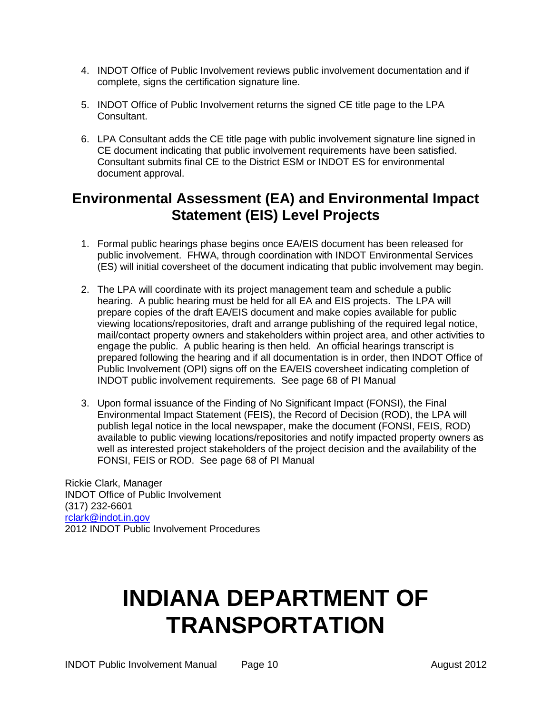- 4. INDOT Office of Public Involvement reviews public involvement documentation and if complete, signs the certification signature line.
- 5. INDOT Office of Public Involvement returns the signed CE title page to the LPA Consultant.
- 6. LPA Consultant adds the CE title page with public involvement signature line signed in CE document indicating that public involvement requirements have been satisfied. Consultant submits final CE to the District ESM or INDOT ES for environmental document approval.

## **Environmental Assessment (EA) and Environmental Impact Statement (EIS) Level Projects**

- 1. Formal public hearings phase begins once EA/EIS document has been released for public involvement. FHWA, through coordination with INDOT Environmental Services (ES) will initial coversheet of the document indicating that public involvement may begin.
- 2. The LPA will coordinate with its project management team and schedule a public hearing. A public hearing must be held for all EA and EIS projects. The LPA will prepare copies of the draft EA/EIS document and make copies available for public viewing locations/repositories, draft and arrange publishing of the required legal notice, mail/contact property owners and stakeholders within project area, and other activities to engage the public. A public hearing is then held. An official hearings transcript is prepared following the hearing and if all documentation is in order, then INDOT Office of Public Involvement (OPI) signs off on the EA/EIS coversheet indicating completion of INDOT public involvement requirements. See page 68 of PI Manual
- 3. Upon formal issuance of the Finding of No Significant Impact (FONSI), the Final Environmental Impact Statement (FEIS), the Record of Decision (ROD), the LPA will publish legal notice in the local newspaper, make the document (FONSI, FEIS, ROD) available to public viewing locations/repositories and notify impacted property owners as well as interested project stakeholders of the project decision and the availability of the FONSI, FEIS or ROD. See page 68 of PI Manual

Rickie Clark, Manager INDOT Office of Public Involvement (317) 232-6601 [rclark@indot.in.gov](mailto:rclark@indot.in.gov) 2012 INDOT Public Involvement Procedures

# **INDIANA DEPARTMENT OF TRANSPORTATION**